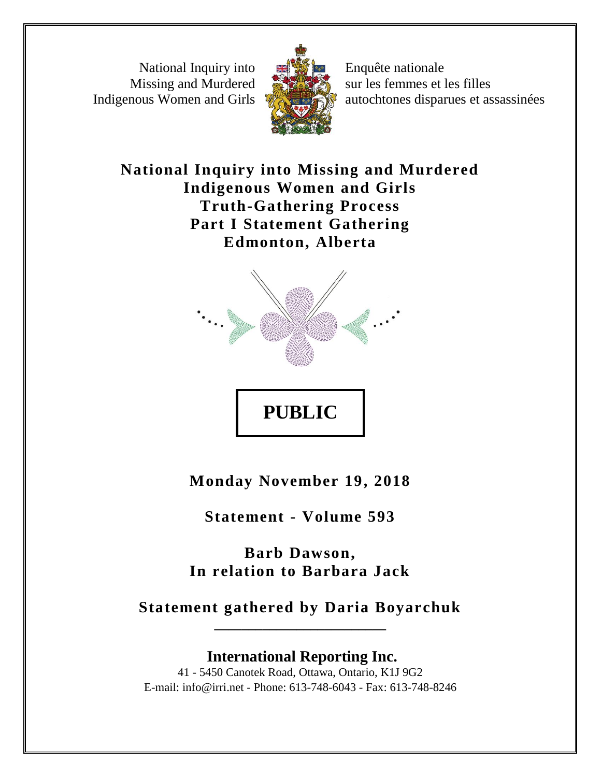National Inquiry into Missing and Murdered Indigenous Women and Girls



Enquête nationale sur les femmes et les filles autochtones disparues et assassinées

**National Inquiry into Missing and Murdered Indigenous Women and Girls Truth-Gathering Process Part I Statement Gathering Edmonton, Alberta**



**Monday November 19, 2018**

**PUBLIC** 

**Statement - Volume 593**

**Barb Dawson, In relation to Barbara Jack**

**Statement gathered by Daria Boyarchuk \_\_\_\_\_\_\_\_\_\_\_\_\_\_\_\_\_\_\_\_\_\_\_\_\_**

**International Reporting Inc.** 41 - 5450 Canotek Road, Ottawa, Ontario, K1J 9G2 E-mail: info@irri.net - Phone: 613-748-6043 - Fax: 613-748-8246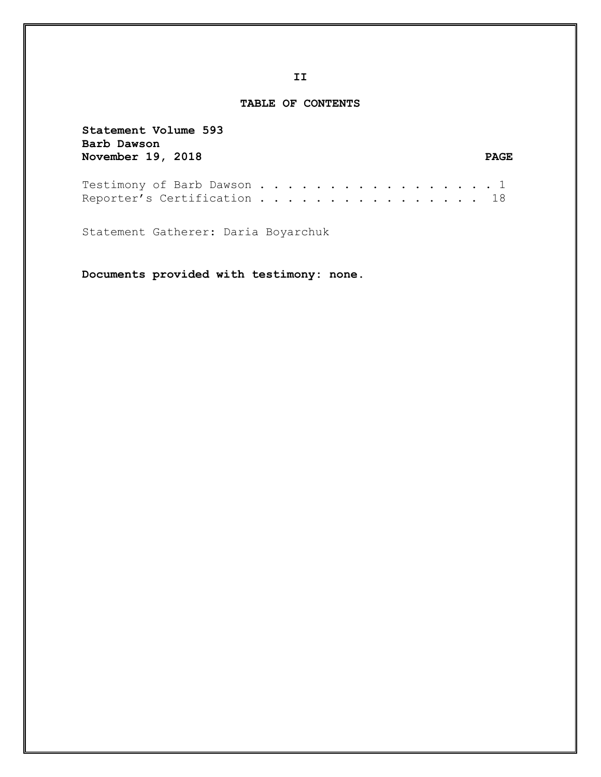## **TABLE OF CONTENTS**

**Statement Volume 593 Barb Dawson**  November 19, 2018 PAGE

| Testimony of Barb Dawson 1  |  |  |  |  |  |  |  |  |  |  |
|-----------------------------|--|--|--|--|--|--|--|--|--|--|
| Reporter's Certification 18 |  |  |  |  |  |  |  |  |  |  |

Statement Gatherer: Daria Boyarchuk

**Documents provided with testimony: none.**

**II**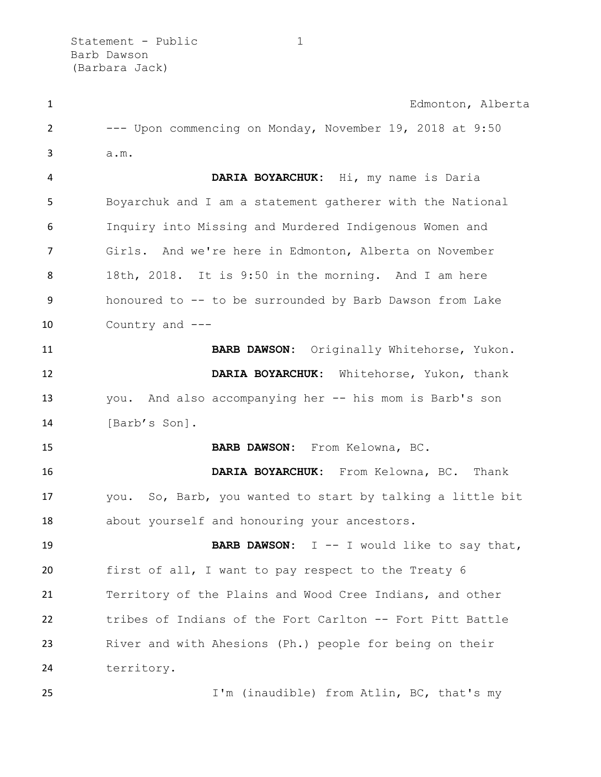| $\mathbf{1}$   | Edmonton, Alberta                                          |
|----------------|------------------------------------------------------------|
| 2              | --- Upon commencing on Monday, November 19, 2018 at 9:50   |
| 3              | a.m.                                                       |
| 4              | DARIA BOYARCHUK: Hi, my name is Daria                      |
| 5              | Boyarchuk and I am a statement gatherer with the National  |
| 6              | Inquiry into Missing and Murdered Indigenous Women and     |
| $\overline{7}$ | Girls. And we're here in Edmonton, Alberta on November     |
| 8              | 18th, 2018. It is 9:50 in the morning. And I am here       |
| 9              | honoured to -- to be surrounded by Barb Dawson from Lake   |
| 10             | Country and ---                                            |
| 11             | BARB DAWSON: Originally Whitehorse, Yukon.                 |
| 12             | DARIA BOYARCHUK: Whitehorse, Yukon, thank                  |
| 13             | you. And also accompanying her -- his mom is Barb's son    |
| 14             | [Barb's Son].                                              |
| 15             | BARB DAWSON: From Kelowna, BC.                             |
| 16             | DARIA BOYARCHUK: From Kelowna, BC. Thank                   |
| 17             | you. So, Barb, you wanted to start by talking a little bit |
| 18             | about yourself and honouring your ancestors.               |
| 19             | <b>BARB DAWSON:</b> $I$ -- I would like to say that,       |
| 20             | first of all, I want to pay respect to the Treaty 6        |
| 21             | Territory of the Plains and Wood Cree Indians, and other   |
| 22             | tribes of Indians of the Fort Carlton -- Fort Pitt Battle  |
| 23             | River and with Ahesions (Ph.) people for being on their    |
| 24             | territory.                                                 |
| 25             | I'm (inaudible) from Atlin, BC, that's my                  |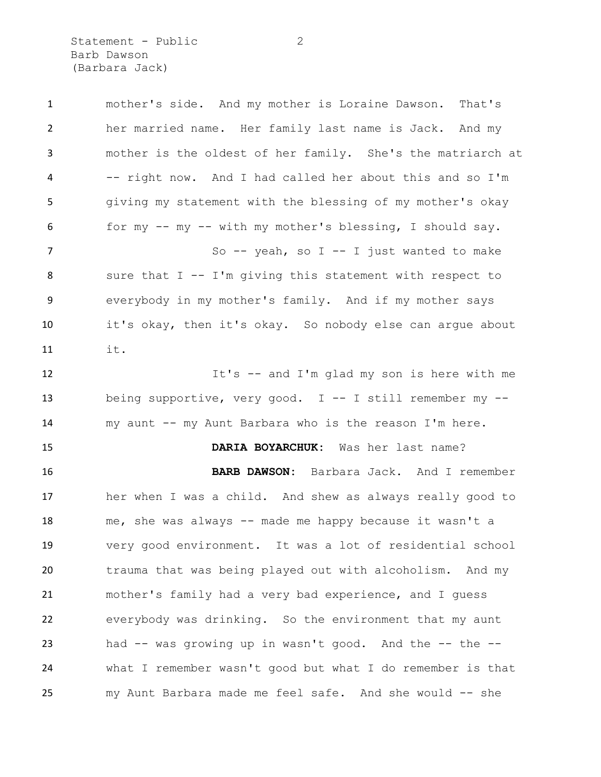Statement - Public 2 Barb Dawson (Barbara Jack)

 mother's side. And my mother is Loraine Dawson. That's her married name. Her family last name is Jack. And my mother is the oldest of her family. She's the matriarch at -- right now. And I had called her about this and so I'm giving my statement with the blessing of my mother's okay for my -- my -- with my mother's blessing, I should say. 7 So -- yeah, so I -- I just wanted to make sure that I -- I'm giving this statement with respect to everybody in my mother's family. And if my mother says it's okay, then it's okay. So nobody else can argue about it. It's -- and I'm glad my son is here with me being supportive, very good. I -- I still remember my -- my aunt -- my Aunt Barbara who is the reason I'm here. **DARIA BOYARCHUK:** Was her last name? **BARB DAWSON:** Barbara Jack. And I remember her when I was a child. And shew as always really good to me, she was always -- made me happy because it wasn't a very good environment. It was a lot of residential school trauma that was being played out with alcoholism. And my mother's family had a very bad experience, and I guess everybody was drinking. So the environment that my aunt had -- was growing up in wasn't good. And the -- the -- what I remember wasn't good but what I do remember is that my Aunt Barbara made me feel safe. And she would -- she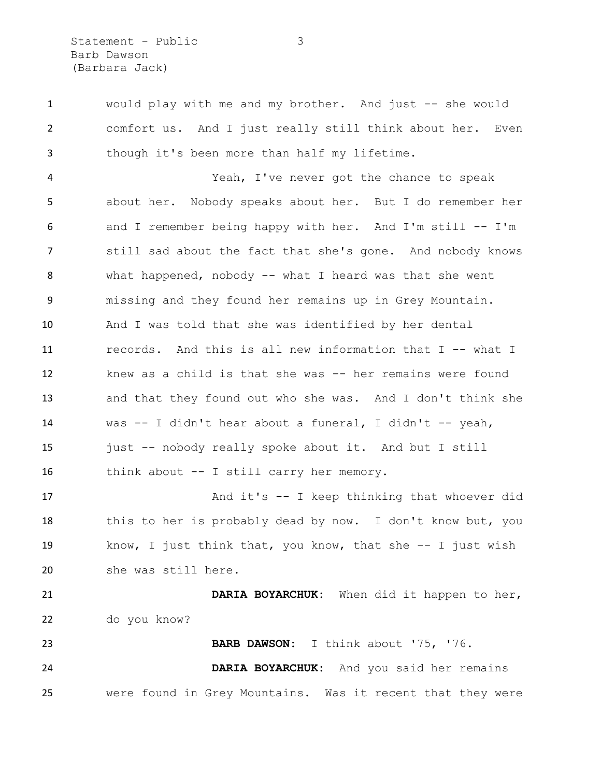Statement - Public 3 Barb Dawson (Barbara Jack)

 would play with me and my brother. And just -- she would comfort us. And I just really still think about her. Even though it's been more than half my lifetime.

 Yeah, I've never got the chance to speak about her. Nobody speaks about her. But I do remember her and I remember being happy with her. And I'm still -- I'm still sad about the fact that she's gone. And nobody knows what happened, nobody -- what I heard was that she went missing and they found her remains up in Grey Mountain. And I was told that she was identified by her dental 11 records. And this is all new information that I -- what I knew as a child is that she was -- her remains were found and that they found out who she was. And I don't think she was -- I didn't hear about a funeral, I didn't -- yeah, just -- nobody really spoke about it. And but I still think about -- I still carry her memory.

17 And it's -- I keep thinking that whoever did 18 this to her is probably dead by now. I don't know but, you know, I just think that, you know, that she -- I just wish she was still here.

 **DARIA BOYARCHUK:** When did it happen to her, do you know? **BARB DAWSON:** I think about '75, '76.

 **DARIA BOYARCHUK:** And you said her remains were found in Grey Mountains. Was it recent that they were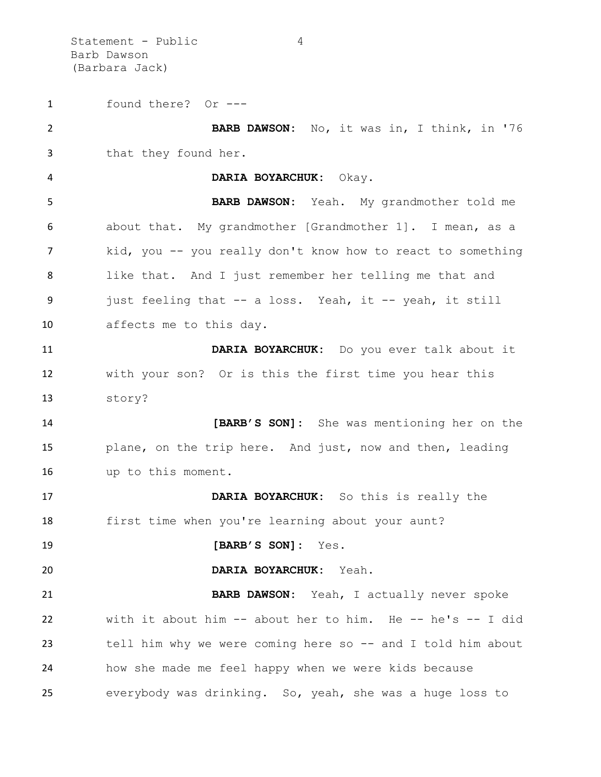Statement - Public 4 Barb Dawson (Barbara Jack)

 found there? Or --- **BARB DAWSON:** No, it was in, I think, in '76 that they found her. **DARIA BOYARCHUK:** Okay. **BARB DAWSON:** Yeah. My grandmother told me about that. My grandmother [Grandmother 1]. I mean, as a kid, you -- you really don't know how to react to something like that. And I just remember her telling me that and just feeling that -- a loss. Yeah, it -- yeah, it still affects me to this day. **DARIA BOYARCHUK:** Do you ever talk about it with your son? Or is this the first time you hear this story? **[BARB'S SON]:** She was mentioning her on the plane, on the trip here. And just, now and then, leading up to this moment. **DARIA BOYARCHUK:** So this is really the first time when you're learning about your aunt? **[BARB'S SON]:** Yes. **DARIA BOYARCHUK:** Yeah. **BARB DAWSON:** Yeah, I actually never spoke with it about him -- about her to him. He -- he's -- I did 23 tell him why we were coming here so -- and I told him about how she made me feel happy when we were kids because everybody was drinking. So, yeah, she was a huge loss to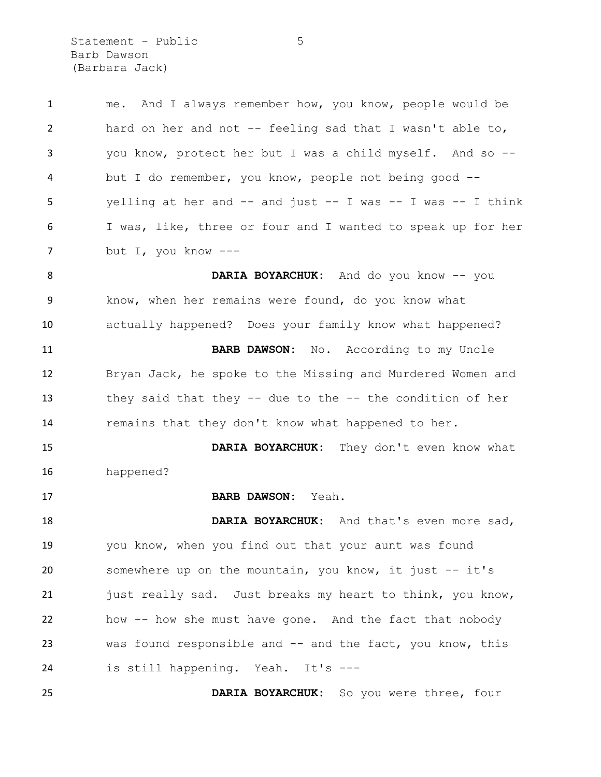Statement - Public 5 Barb Dawson (Barbara Jack)

| $\mathbf{1}$   | And I always remember how, you know, people would be<br>me.         |
|----------------|---------------------------------------------------------------------|
| $\overline{2}$ | hard on her and not -- feeling sad that I wasn't able to,           |
| 3              | you know, protect her but I was a child myself. And so --           |
| 4              | but I do remember, you know, people not being good --               |
| 5              | yelling at her and $--$ and just $--$ I was $--$ I was $--$ I think |
| 6              | I was, like, three or four and I wanted to speak up for her         |
| 7              | but I, you know $---$                                               |
| 8              | DARIA BOYARCHUK: And do you know -- you                             |
| 9              | know, when her remains were found, do you know what                 |
| 10             | actually happened? Does your family know what happened?             |
| 11             | BARB DAWSON: No. According to my Uncle                              |
| 12             | Bryan Jack, he spoke to the Missing and Murdered Women and          |
| 13             | they said that they $--$ due to the $--$ the condition of her       |
| 14             | remains that they don't know what happened to her.                  |
| 15             | DARIA BOYARCHUK: They don't even know what                          |
| 16             | happened?                                                           |
| 17             | BARB DAWSON: Yeah.                                                  |
| 18             | DARIA BOYARCHUK: And that's even more sad,                          |
| 19             | you know, when you find out that your aunt was found                |
| 20             | somewhere up on the mountain, you know, it just -- it's             |
| 21             | just really sad. Just breaks my heart to think, you know,           |
| 22             | how -- how she must have gone. And the fact that nobody             |
| 23             | was found responsible and -- and the fact, you know, this           |
| 24             | is still happening. Yeah. It's ---                                  |
| 25             | DARIA BOYARCHUK: So you were three, four                            |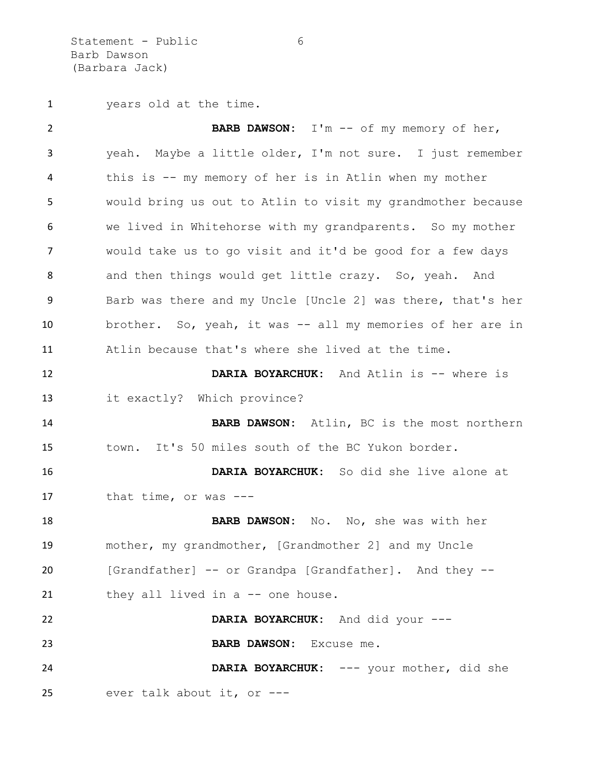Statement - Public 6 Barb Dawson (Barbara Jack)

years old at the time.

 **BARB DAWSON:** I'm -- of my memory of her, yeah. Maybe a little older, I'm not sure. I just remember this is -- my memory of her is in Atlin when my mother would bring us out to Atlin to visit my grandmother because we lived in Whitehorse with my grandparents. So my mother would take us to go visit and it'd be good for a few days 8 and then things would get little crazy. So, yeah. And Barb was there and my Uncle [Uncle 2] was there, that's her brother. So, yeah, it was -- all my memories of her are in Atlin because that's where she lived at the time. **DARIA BOYARCHUK:** And Atlin is -- where is it exactly? Which province? **BARB DAWSON:** Atlin, BC is the most northern town. It's 50 miles south of the BC Yukon border. **DARIA BOYARCHUK:** So did she live alone at that time, or was --- **BARB DAWSON:** No. No, she was with her mother, my grandmother, [Grandmother 2] and my Uncle [Grandfather] -- or Grandpa [Grandfather]. And they -- 21 they all lived in a -- one house. **DARIA BOYARCHUK:** And did your --- **BARB DAWSON:** Excuse me. **DARIA BOYARCHUK:** --- your mother, did she ever talk about it, or ---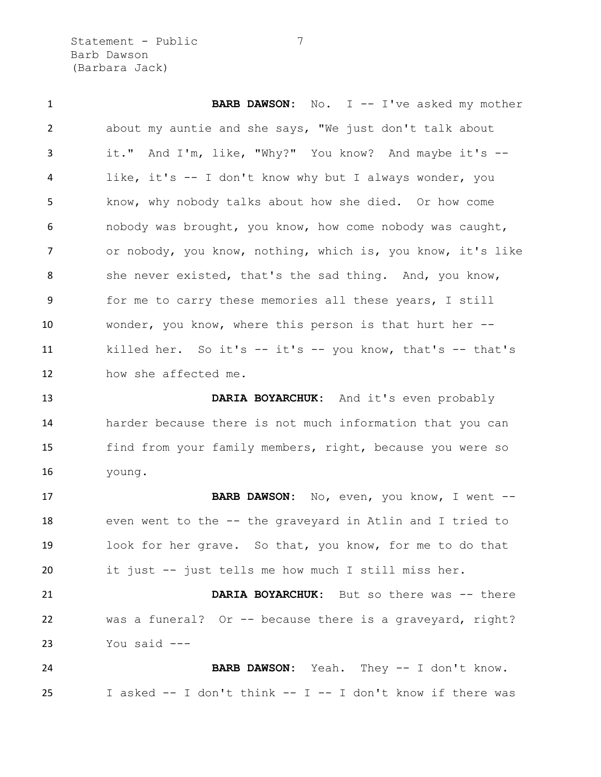Statement - Public 7 Barb Dawson (Barbara Jack)

**BARB DAWSON:** No. I -- I've asked my mother about my auntie and she says, "We just don't talk about it." And I'm, like, "Why?" You know? And maybe it's -- like, it's -- I don't know why but I always wonder, you know, why nobody talks about how she died. Or how come nobody was brought, you know, how come nobody was caught, or nobody, you know, nothing, which is, you know, it's like 8 she never existed, that's the sad thing. And, you know, for me to carry these memories all these years, I still wonder, you know, where this person is that hurt her -- killed her. So it's -- it's -- you know, that's -- that's how she affected me.

 **DARIA BOYARCHUK:** And it's even probably harder because there is not much information that you can find from your family members, right, because you were so young.

 **BARB DAWSON:** No, even, you know, I went -- even went to the -- the graveyard in Atlin and I tried to look for her grave. So that, you know, for me to do that it just -- just tells me how much I still miss her.

 **DARIA BOYARCHUK:** But so there was -- there was a funeral? Or -- because there is a graveyard, right? You said ---

 **BARB DAWSON:** Yeah. They -- I don't know. I asked -- I don't think -- I -- I don't know if there was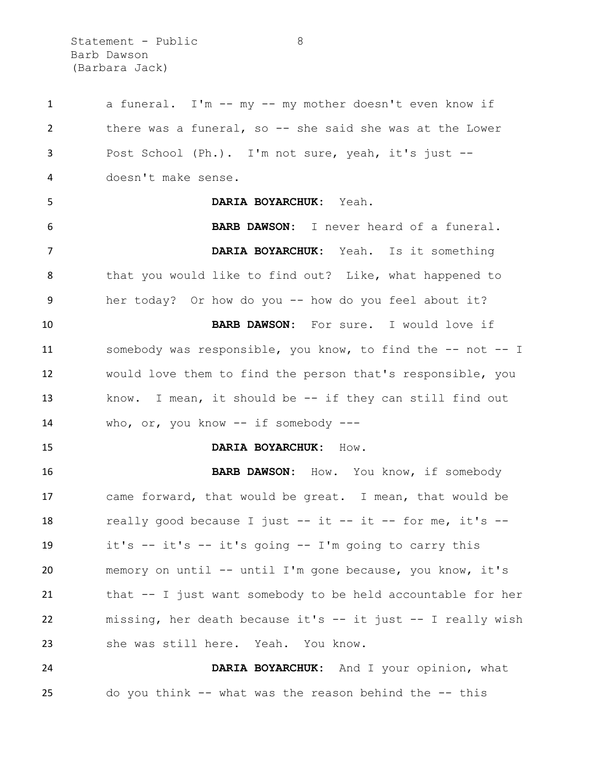Statement - Public 8 Barb Dawson (Barbara Jack)

 a funeral. I'm -- my -- my mother doesn't even know if 2 there was a funeral, so -- she said she was at the Lower Post School (Ph.). I'm not sure, yeah, it's just -- doesn't make sense. **DARIA BOYARCHUK:** Yeah. **BARB DAWSON:** I never heard of a funeral. **DARIA BOYARCHUK:** Yeah. Is it something 8 that you would like to find out? Like, what happened to her today? Or how do you -- how do you feel about it? **BARB DAWSON:** For sure. I would love if somebody was responsible, you know, to find the -- not -- I would love them to find the person that's responsible, you know. I mean, it should be -- if they can still find out who, or, you know -- if somebody --- **DARIA BOYARCHUK:** How. **BARB DAWSON:** How. You know, if somebody came forward, that would be great. I mean, that would be really good because I just -- it -- it -- for me, it's -- it's -- it's -- it's going -- I'm going to carry this memory on until -- until I'm gone because, you know, it's that -- I just want somebody to be held accountable for her missing, her death because it's -- it just -- I really wish she was still here. Yeah. You know. **DARIA BOYARCHUK:** And I your opinion, what do you think -- what was the reason behind the -- this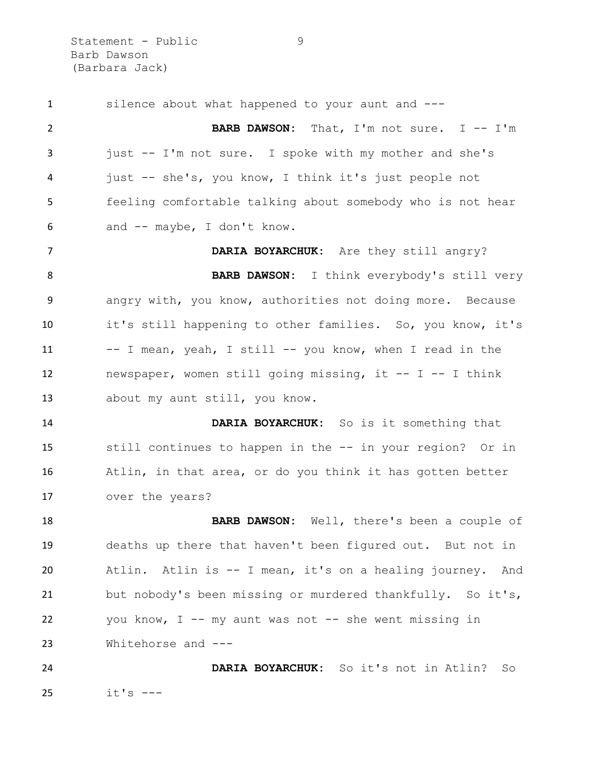Statement - Public 9 Barb Dawson (Barbara Jack)

 silence about what happened to your aunt and --- **BARB DAWSON:** That, I'm not sure. I -- I'm just -- I'm not sure. I spoke with my mother and she's just -- she's, you know, I think it's just people not feeling comfortable talking about somebody who is not hear and -- maybe, I don't know. **DARIA BOYARCHUK:** Are they still angry? **BARB DAWSON:** I think everybody's still very angry with, you know, authorities not doing more. Because it's still happening to other families. So, you know, it's -- I mean, yeah, I still -- you know, when I read in the 12 newspaper, women still going missing, it -- I -- I think about my aunt still, you know. **DARIA BOYARCHUK:** So is it something that still continues to happen in the -- in your region? Or in Atlin, in that area, or do you think it has gotten better over the years? **BARB DAWSON:** Well, there's been a couple of deaths up there that haven't been figured out. But not in Atlin. Atlin is -- I mean, it's on a healing journey. And but nobody's been missing or murdered thankfully. So it's, 22 you know, I -- my aunt was not -- she went missing in Whitehorse and --- **DARIA BOYARCHUK:** So it's not in Atlin? So it's  $---$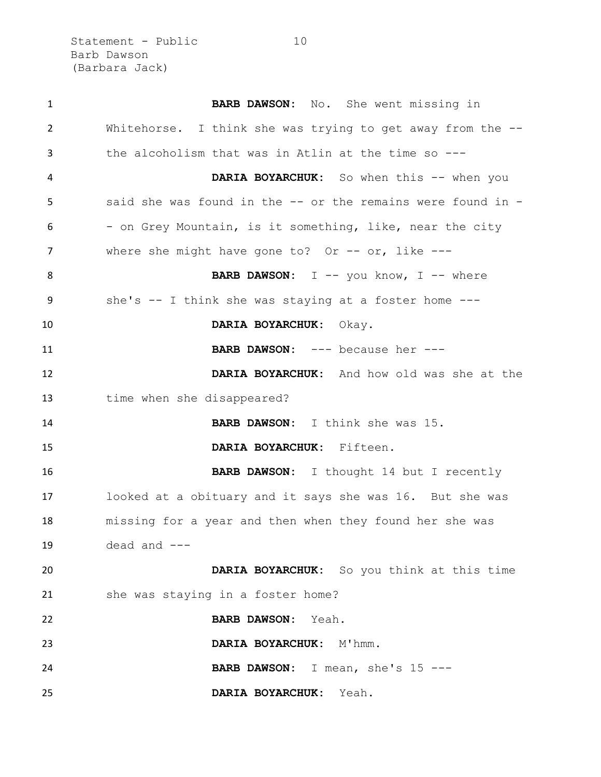Statement - Public 10 Barb Dawson (Barbara Jack)

 **BARB DAWSON:** No. She went missing in Whitehorse. I think she was trying to get away from the -- the alcoholism that was in Atlin at the time so --- **DARIA BOYARCHUK:** So when this -- when you said she was found in the -- or the remains were found in - - on Grey Mountain, is it something, like, near the city 7 where she might have gone to? Or -- or, like ---**BARB DAWSON:** I -- you know, I -- where she's -- I think she was staying at a foster home --- **DARIA BOYARCHUK:** Okay. **BARB DAWSON:** --- because her --- **DARIA BOYARCHUK:** And how old was she at the time when she disappeared? **BARB DAWSON:** I think she was 15. **DARIA BOYARCHUK:** Fifteen. **BARB DAWSON:** I thought 14 but I recently looked at a obituary and it says she was 16. But she was missing for a year and then when they found her she was dead and --- **DARIA BOYARCHUK:** So you think at this time 21 she was staying in a foster home? **BARB DAWSON:** Yeah. **DARIA BOYARCHUK:** M'hmm. **BARB DAWSON:** I mean, she's 15 --- **DARIA BOYARCHUK:** Yeah.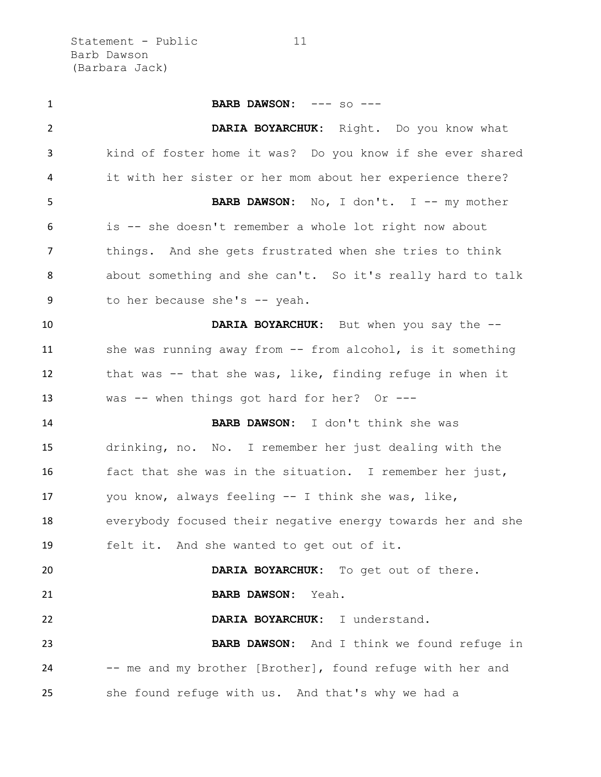Statement - Public 11 Barb Dawson (Barbara Jack)

 **BARB DAWSON:** --- so --- **DARIA BOYARCHUK:** Right. Do you know what kind of foster home it was? Do you know if she ever shared it with her sister or her mom about her experience there? **BARB DAWSON:** No, I don't. I -- my mother is -- she doesn't remember a whole lot right now about things. And she gets frustrated when she tries to think about something and she can't. So it's really hard to talk to her because she's -- yeah. **DARIA BOYARCHUK:** But when you say the -- 11 she was running away from -- from alcohol, is it something that was -- that she was, like, finding refuge in when it was -- when things got hard for her? Or --- **BARB DAWSON:** I don't think she was drinking, no. No. I remember her just dealing with the fact that she was in the situation. I remember her just, you know, always feeling -- I think she was, like, everybody focused their negative energy towards her and she felt it. And she wanted to get out of it. **DARIA BOYARCHUK:** To get out of there. **BARB DAWSON:** Yeah. **DARIA BOYARCHUK:** I understand. **BARB DAWSON:** And I think we found refuge in -- me and my brother [Brother], found refuge with her and she found refuge with us. And that's why we had a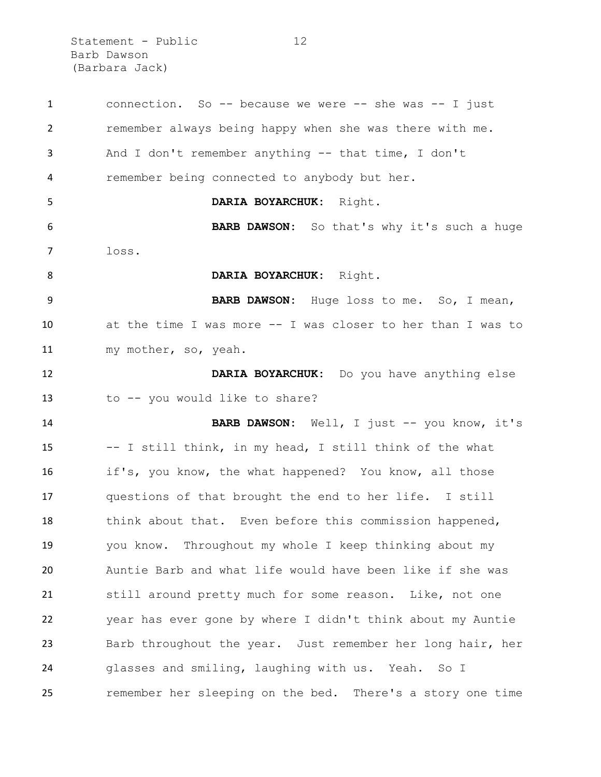Statement - Public 12 Barb Dawson (Barbara Jack)

 connection. So -- because we were -- she was -- I just remember always being happy when she was there with me. And I don't remember anything -- that time, I don't remember being connected to anybody but her. **DARIA BOYARCHUK:** Right. **BARB DAWSON:** So that's why it's such a huge loss. **DARIA BOYARCHUK:** Right. **BARB DAWSON:** Huge loss to me. So, I mean, at the time I was more -- I was closer to her than I was to my mother, so, yeah. **DARIA BOYARCHUK:** Do you have anything else to -- you would like to share? **BARB DAWSON:** Well, I just -- you know, it's -- I still think, in my head, I still think of the what if's, you know, the what happened? You know, all those questions of that brought the end to her life. I still think about that. Even before this commission happened, you know. Throughout my whole I keep thinking about my Auntie Barb and what life would have been like if she was still around pretty much for some reason. Like, not one year has ever gone by where I didn't think about my Auntie Barb throughout the year. Just remember her long hair, her glasses and smiling, laughing with us. Yeah. So I remember her sleeping on the bed. There's a story one time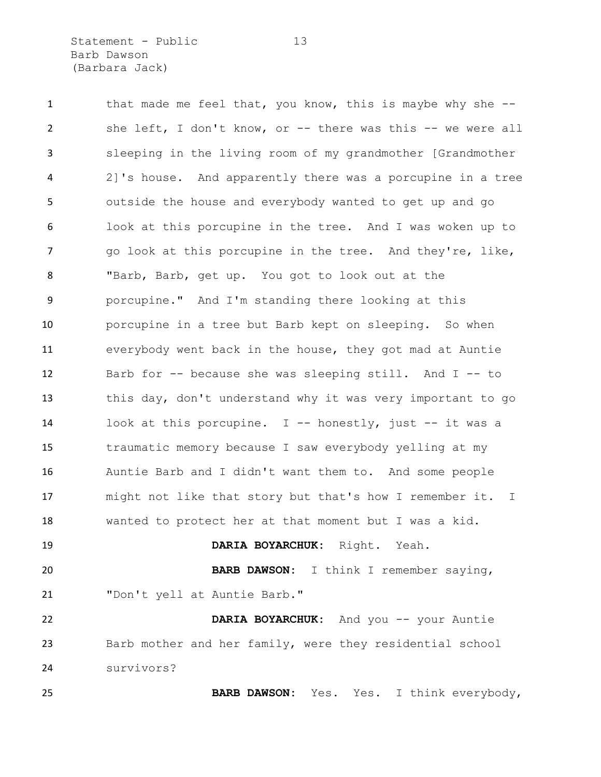Statement - Public 13 Barb Dawson (Barbara Jack)

1 that made me feel that, you know, this is maybe why she -- she left, I don't know, or -- there was this -- we were all sleeping in the living room of my grandmother [Grandmother 2]'s house. And apparently there was a porcupine in a tree outside the house and everybody wanted to get up and go look at this porcupine in the tree. And I was woken up to 7 and this porcupine in the tree. And they're, like, "Barb, Barb, get up. You got to look out at the porcupine." And I'm standing there looking at this porcupine in a tree but Barb kept on sleeping. So when everybody went back in the house, they got mad at Auntie Barb for -- because she was sleeping still. And I -- to this day, don't understand why it was very important to go look at this porcupine. I -- honestly, just -- it was a traumatic memory because I saw everybody yelling at my Auntie Barb and I didn't want them to. And some people might not like that story but that's how I remember it. I wanted to protect her at that moment but I was a kid. **DARIA BOYARCHUK:** Right. Yeah. **BARB DAWSON:** I think I remember saying,

"Don't yell at Auntie Barb."

 **DARIA BOYARCHUK:** And you -- your Auntie Barb mother and her family, were they residential school survivors?

**BARB DAWSON:** Yes. Yes. I think everybody,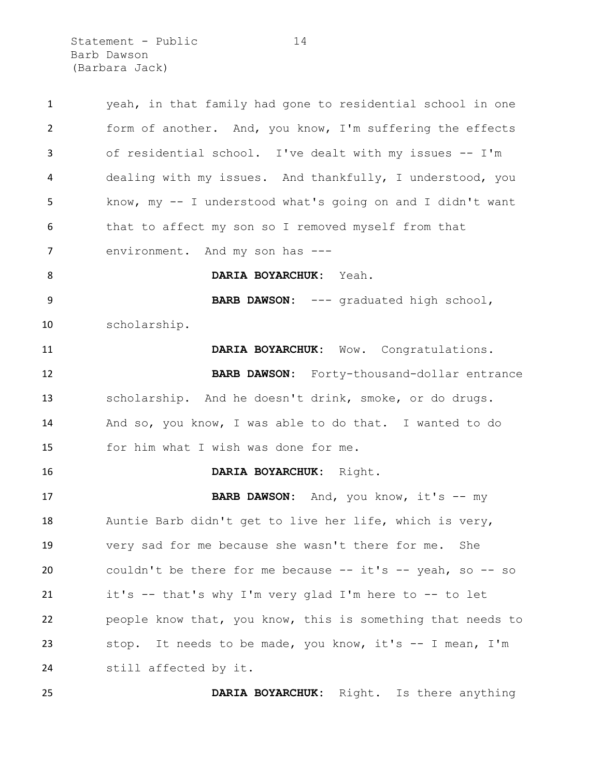Statement - Public 14 Barb Dawson (Barbara Jack)

| $\mathbf{1}$   | yeah, in that family had gone to residential school in one       |
|----------------|------------------------------------------------------------------|
| $\overline{2}$ | form of another. And, you know, I'm suffering the effects        |
| 3              | of residential school. I've dealt with my issues -- I'm          |
| 4              | dealing with my issues. And thankfully, I understood, you        |
| 5              | know, my -- I understood what's going on and I didn't want       |
| 6              | that to affect my son so I removed myself from that              |
| 7              | environment. And my son has ---                                  |
| 8              | DARIA BOYARCHUK: Yeah.                                           |
| 9              | BARB DAWSON: --- graduated high school,                          |
| 10             | scholarship.                                                     |
| 11             | DARIA BOYARCHUK: Wow. Congratulations.                           |
| 12             | BARB DAWSON: Forty-thousand-dollar entrance                      |
| 13             | scholarship. And he doesn't drink, smoke, or do drugs.           |
| 14             | And so, you know, I was able to do that. I wanted to do          |
| 15             | for him what I wish was done for me.                             |
| 16             | DARIA BOYARCHUK: Right.                                          |
| 17             | BARB DAWSON: And, you know, it's -- my                           |
| 18             | Auntie Barb didn't get to live her life, which is very,          |
| 19             | very sad for me because she wasn't there for me. She             |
| 20             | couldn't be there for me because $--$ it's $--$ yeah, so $--$ so |
| 21             | it's -- that's why I'm very glad I'm here to -- to let           |
| 22             | people know that, you know, this is something that needs to      |
| 23             | stop. It needs to be made, you know, it's -- I mean, I'm         |
| 24             | still affected by it.                                            |
| 25             | DARIA BOYARCHUK: Right. Is there anything                        |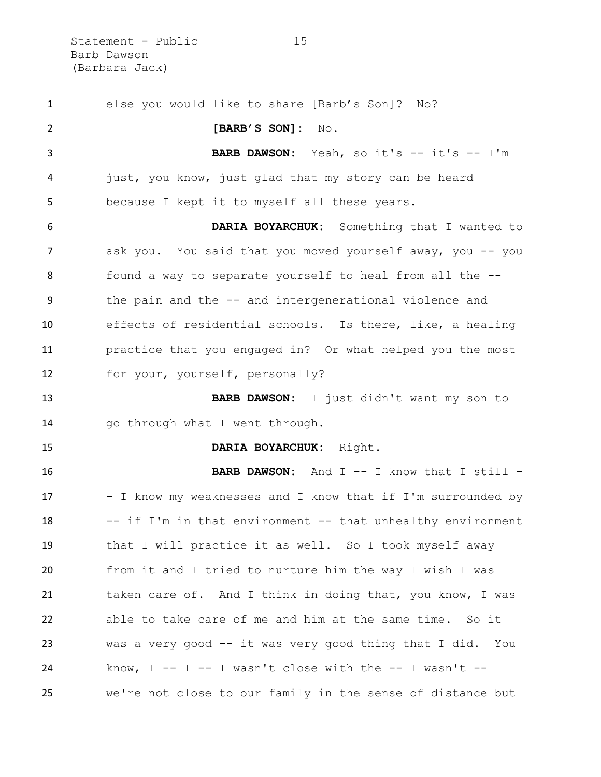Statement - Public 15 Barb Dawson (Barbara Jack)

 else you would like to share [Barb's Son]? No? **[BARB'S SON]:** No. **BARB DAWSON:** Yeah, so it's -- it's -- I'm just, you know, just glad that my story can be heard because I kept it to myself all these years. **DARIA BOYARCHUK:** Something that I wanted to ask you. You said that you moved yourself away, you -- you found a way to separate yourself to heal from all the -- the pain and the -- and intergenerational violence and effects of residential schools. Is there, like, a healing practice that you engaged in? Or what helped you the most for your, yourself, personally? **BARB DAWSON:** I just didn't want my son to 14 go through what I went through. **DARIA BOYARCHUK:** Right. **BARB DAWSON:** And I -- I know that I still -17 - I know my weaknesses and I know that if I'm surrounded by 18 -- if I'm in that environment -- that unhealthy environment that I will practice it as well. So I took myself away from it and I tried to nurture him the way I wish I was 21 taken care of. And I think in doing that, you know, I was able to take care of me and him at the same time. So it was a very good -- it was very good thing that I did. You know, I -- I -- I wasn't close with the -- I wasn't --we're not close to our family in the sense of distance but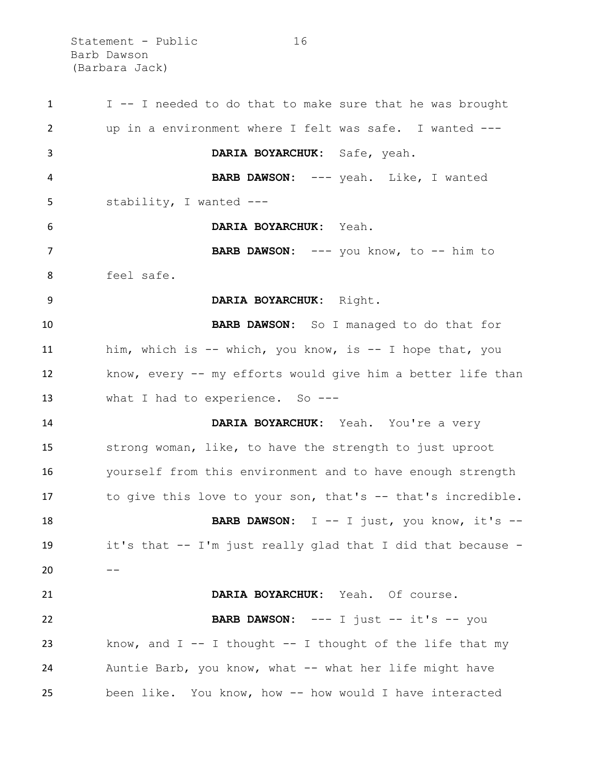Statement - Public 16 Barb Dawson (Barbara Jack)

 I -- I needed to do that to make sure that he was brought up in a environment where I felt was safe. I wanted --- **DARIA BOYARCHUK:** Safe, yeah. **BARB DAWSON:** --- yeah. Like, I wanted stability, I wanted --- **DARIA BOYARCHUK:** Yeah. **BARB DAWSON:** --- you know, to -- him to feel safe. **DARIA BOYARCHUK:** Right. **BARB DAWSON:** So I managed to do that for him, which is -- which, you know, is -- I hope that, you know, every -- my efforts would give him a better life than 13 what I had to experience. So --- **DARIA BOYARCHUK:** Yeah. You're a very strong woman, like, to have the strength to just uproot yourself from this environment and to have enough strength 17 to give this love to your son, that's -- that's incredible. **BARB DAWSON:** I -- I just, you know, it's -- it's that -- I'm just really glad that I did that because - -- **DARIA BOYARCHUK:** Yeah. Of course. **BARB DAWSON:** --- I just -- it's -- you 23 know, and  $I - - I$  thought  $- - I$  thought of the life that my Auntie Barb, you know, what -- what her life might have been like. You know, how -- how would I have interacted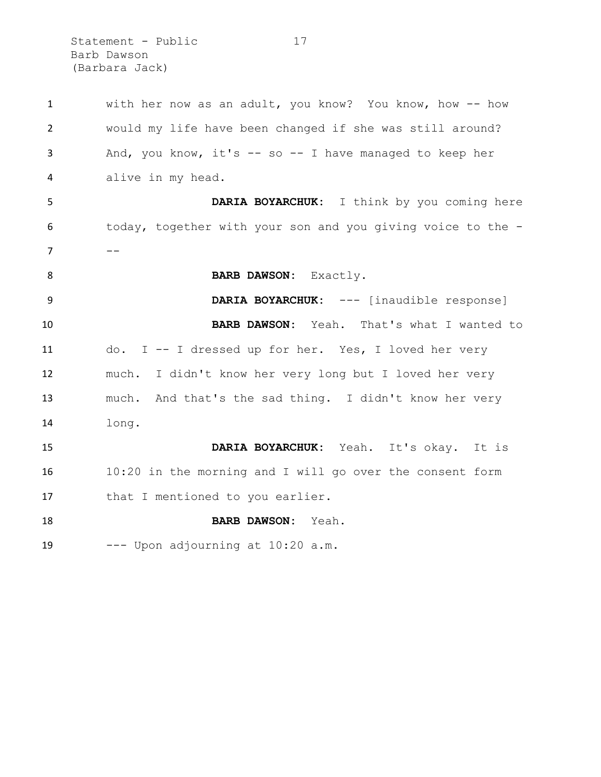Statement - Public 17 Barb Dawson (Barbara Jack)

| $\mathbf{1}$   | with her now as an adult, you know? You know, how -- how    |
|----------------|-------------------------------------------------------------|
| $\overline{2}$ | would my life have been changed if she was still around?    |
| 3              | And, you know, it's $-$ so $-$ I have managed to keep her   |
| 4              | alive in my head.                                           |
| 5              | DARIA BOYARCHUK: I think by you coming here                 |
| 6              | today, together with your son and you giving voice to the - |
| $\overline{7}$ |                                                             |
| 8              | BARB DAWSON: Exactly.                                       |
| 9              | DARIA BOYARCHUK: --- [inaudible response]                   |
| 10             | BARB DAWSON: Yeah. That's what I wanted to                  |
| 11             | do. I -- I dressed up for her. Yes, I loved her very        |
| 12             | much. I didn't know her very long but I loved her very      |
| 13             | much. And that's the sad thing. I didn't know her very      |
| 14             | long.                                                       |
| 15             | DARIA BOYARCHUK: Yeah. It's okay. It is                     |
| 16             | 10:20 in the morning and I will go over the consent form    |
| 17             | that I mentioned to you earlier.                            |
| 18             | BARB DAWSON: Yeah.                                          |
| 19             | --- Upon adjourning at 10:20 a.m.                           |
|                |                                                             |